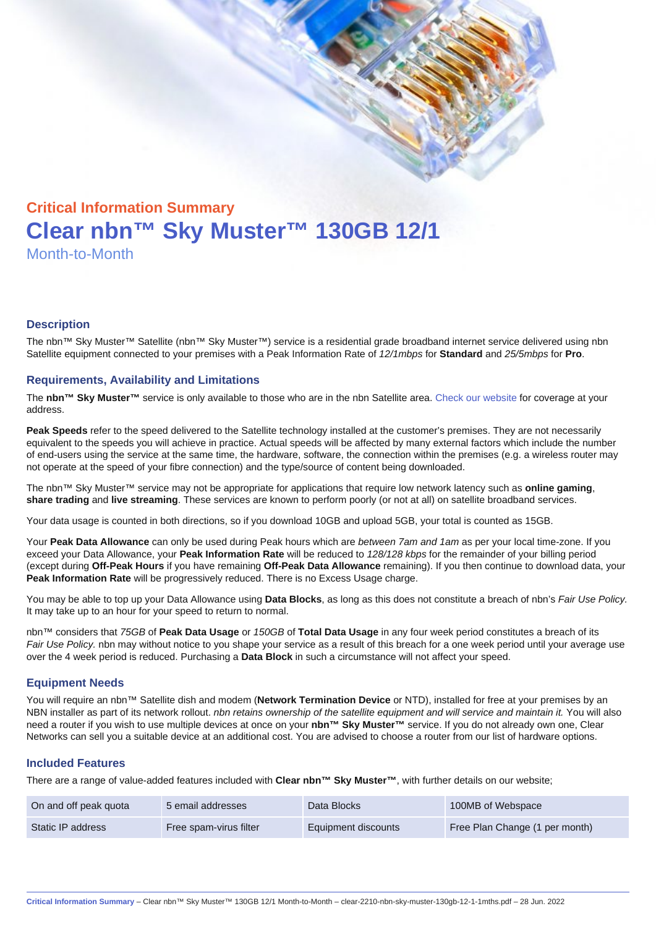# Critical Information Summary Clear nbn™ Sky Muster™ 130GB 12/1 Month-to-Month

#### **Description**

The nbn™ Sky Muster™ Satellite (nbn™ Sky Muster™) service is a residential grade broadband internet service delivered using nbn Satellite equipment connected to your premises with a Peak Information Rate of 12/1mbps for Standard and 25/5mbps for Pro.

#### Requirements, Availability and Limitations

The nbn™ Sky Muster™ service is only available to those who are in the nbn Satellite area. [Check our website](https://www.clear.com.au/residential/nbn-sky-muster/availability-coverage/) for coverage at your address.

Peak Speeds refer to the speed delivered to the Satellite technology installed at the customer's premises. They are not necessarily equivalent to the speeds you will achieve in practice. Actual speeds will be affected by many external factors which include the number of end-users using the service at the same time, the hardware, software, the connection within the premises (e.g. a wireless router may not operate at the speed of your fibre connection) and the type/source of content being downloaded.

The nbn™ Sky Muster™ service may not be appropriate for applications that require low network latency such as online gaming , share trading and live streaming . These services are known to perform poorly (or not at all) on satellite broadband services.

Your data usage is counted in both directions, so if you download 10GB and upload 5GB, your total is counted as 15GB.

Your Peak Data Allowance can only be used during Peak hours which are between 7am and 1am as per your local time-zone. If you exceed your Data Allowance, your Peak Information Rate will be reduced to 128/128 kbps for the remainder of your billing period (except during Off-Peak Hours if you have remaining Off-Peak Data Allowance remaining). If you then continue to download data, your Peak Information Rate will be progressively reduced. There is no Excess Usage charge.

You may be able to top up your Data Allowance using Data Blocks , as long as this does not constitute a breach of nbn's Fair Use Policy. It may take up to an hour for your speed to return to normal.

nbn™ considers that 75GB of Peak Data Usage or 150GB of Total Data Usage in any four week period constitutes a breach of its Fair Use Policy. nbn may without notice to you shape your service as a result of this breach for a one week period until your average use over the 4 week period is reduced. Purchasing a Data Block in such a circumstance will not affect your speed.

#### Equipment Needs

You will require an nbn™ Satellite dish and modem (Network Termination Device or NTD), installed for free at your premises by an NBN installer as part of its network rollout. nbn retains ownership of the satellite equipment and will service and maintain it. You will also need a router if you wish to use multiple devices at once on your nbn™ Sky Muster™ service. If you do not already own one, Clear Networks can sell you a suitable device at an additional cost. You are advised to choose a router from our list of hardware options.

#### Included Features

There are a range of value-added features included with Clear nbn™ Sky Muster™ , with further details on our website;

| On and off peak quota | 5 email addresses      | Data Blocks         | 100MB of Webspace              |
|-----------------------|------------------------|---------------------|--------------------------------|
| Static IP address     | Free spam-virus filter | Equipment discounts | Free Plan Change (1 per month) |